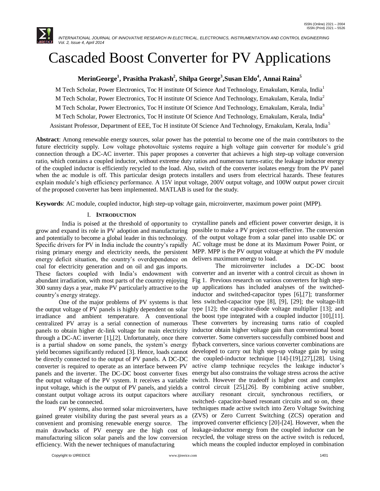

# Cascaded Boost Converter for PV Applications

# **MerinGeorge<sup>1</sup> , Prasitha Prakash<sup>2</sup> , Shilpa George<sup>3</sup> ,Susan Eldo<sup>4</sup> , Annai Raina<sup>5</sup>**

M Tech Scholar, Power Electronics, Toc H institute Of Science And Technology, Ernakulam, Kerala, India<sup>1</sup> M Tech Scholar, Power Electronics, Toc H institute Of Science And Technology, Ernakulam, Kerala, India<sup>2</sup> M Tech Scholar, Power Electronics, Toc H institute Of Science And Technology, Ernakulam, Kerala, India<sup>3</sup> M Tech Scholar, Power Electronics, Toc H institute Of Science And Technology, Ernakulam, Kerala, India<sup>4</sup> Assistant Professor, Department of EEE, Toc H institute Of Science And Technology, Ernakulam, Kerala, India<sup>5</sup>

**Abstract**: Among renewable energy sources, solar power has the potential to become one of the main contributors to the future electricity supply. Low voltage photovoltaic systems require a high voltage gain converter for module's grid connection through a DC-AC inverter. This paper proposes a converter that achieves a high step-up voltage conversion ratio, which contains a coupled inductor, without extreme duty ratios and numerous turns-ratio; the leakage inductor energy of the coupled inductor is efficiently recycled to the load. Also, switch of the converter isolates energy from the PV panel when the ac module is off. This particular design protects installers and users from electrical hazards. These features explain module's high efficiency performance. A 15V input voltage, 200V output voltage, and 100W output power circuit of the proposed converter has been implemented. MATLAB is used for the study.

**Keywords**: AC module, coupled inductor, high step-up voltage gain, microinverter, maximum power point (MPP).

## I. **INTRODUCTION**

 India is poised at the threshold of opportunity to crystalline panels and efficient power converter design, it is grow and expand its role in PV adoption and manufacturing possible to make a PV project cost-effective. The conversion and potentially to become a global leader in this technology. Specific drivers for PV in India include the country's rapidly AC voltage must be done at its Maximum Power Point, or rising primary energy and electricity needs, the persistent MPP. MPP is the PV output voltage at which the PV module energy deficit situation, the country's overdependence on delivers maximum energy to load. coal for electricity generation and on oil and gas imports. These factors coupled with India's endowment with abundant irradiation, with most parts of the country enjoying 300 sunny days a year, make PV particularly attractive to the country's energy strategy.

the output voltage of PV panels is highly dependent on solar irradiance and ambient temperature. A conventional centralized PV array is a serial connection of numerous panels to obtain higher dc-link voltage for main electricity through a DC-AC inverter [1],[2]. Unfortunately, once there is a partial shadow on some panels, the system's energy yield becomes significantly reduced [3]. Hence, loads cannot developed to carry out high step-up voltage gain by using be directly connected to the output of PV panels. A DC-DC converter is required to operate as an interface between PV panels and the inverter. The DC-DC boost converter fixes the output voltage of the PV system. It receives a variable switch. However the tradeoff is higher cost and complex input voltage, which is the output of PV panels, and yields a control circuit [25],[26]. By combining active snubber, constant output voltage across its output capacitors where auxiliary resonant circuit, synchronous rectifiers, or the loads can be connected.

 PV systems, also termed solar microinverters, have gained greater visibility during the past several years as a convenient and promising renewable energy source. The improved converter efficiency [20]-[24]. However, when the main drawbacks of PV energy are the high cost of leakage-inductor energy from the coupled inductor can be manufacturing silicon solar panels and the low conversion recycled, the voltage stress on the active switch is reduced, efficiency. With the newer techniques of manufacturing

of the output voltage from a solar panel into usable DC or

 One of the major problems of PV systems is that less switched-capacitor type [8], [9], [29]; the voltage-lift The microinverter includes a DC-DC boost converter and an inverter with a control circuit as shown in Fig 1. Previous research on various converters for high stepup applications has included analyses of the switchedinductor and switched-capacitor types [6],[7]; transformer type [12]; the capacitor-diode voltage multiplier [13]; and the boost type integrated with a coupled inductor [10],[11]. These converters by increasing turns ratio of coupled inductor obtain higher voltage gain than conventional boost converter. Some converters successfully combined boost and flyback converters, since various converter combinations are the coupled-inductor technique [14]-[19],[27],[28]. Using active clamp technique recycles the leakage inductor's energy but also constrains the voltage stress across the active switched- capacitor-based resonant circuits and so on, these techniques made active switch into Zero Voltage Switching (ZVS) or Zero Current Switching (ZCS) operation and which means the coupled inductor employed in combination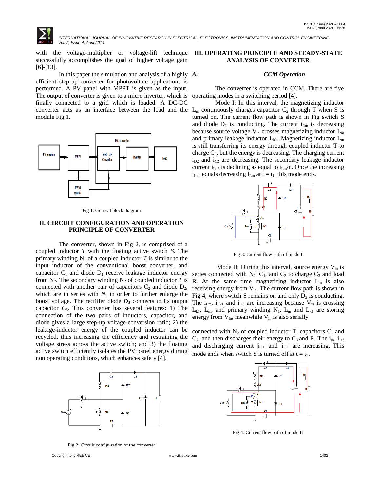with the voltage-multiplier or voltage-lift technique successfully accomplishes the goal of higher voltage gain [6]-[13].

In this paper the simulation and analysis of a highly  $\boldsymbol{A}$ . efficient step-up converter for photovoltaic applications is performed. A PV panel with MPPT is given as the input. The output of converter is given to a micro inverter, which is finally connected to a grid which is loaded. A DC-DC module Fig 1.



Fig 1: General block diagram

### **II. CIRCUIT CONFIGURATION AND OPERATION PRINCIPLE OF CONVERTER**

 The converter, shown in Fig 2, is comprised of a coupled inductor *T* with the floating active switch *S*. The primary winding  $N_1$  of a coupled inductor T is similar to the input inductor of the conventional boost converter, and capacitor  $C_1$  and diode  $D_1$  receive leakage inductor energy from  $N_2$ . The secondary winding  $N_2$  of coupled inductor *T* is connected with another pair of capacitors  $C_2$  and diode  $D_2$ , which are in series with  $N_1$  in order to further enlarge the boost voltage. The rectifier diode  $D_3$  connects to its output capacitor  $C_3$ . This converter has several features: 1) The connection of the two pairs of inductors, capacitor, and diode gives a large step-up voltage-conversion ratio; 2) the leakage-inductor energy of the coupled inductor can be recycled, thus increasing the efficiency and restraining the voltage stress across the active switch; and 3) the floating active switch efficiently isolates the PV panel energy during non operating conditions, which enhances safety [4].



Fig 2: Circuit configuration of the converter

# **III. OPERATING PRINCIPLE AND STEADY-STATE ANALYSIS OF CONVERTER**

#### *A. CCM Operation*

 The converter is operated in CCM. There are five operating modes in a switching period [4].

converter acts as an interface between the load and the  $L_m$  continuously charges capacitor  $C_2$  through T when S is Mode I: In this interval, the magnetizing inductor turned on. The current flow path is shown in Fig switch S and diode  $D_2$  is conducting. The current  $i_{\text{Lm}}$  is decreasing because source voltage  $V_{in}$  crosses magnetizing inductor  $L_{m}$ and primary leakage inductor  $L_{k1}$ . Magnetizing inductor  $L_m$ is still transferring its energy through coupled inductor T to charge  $C_2$ , but the energy is decreasing. The charging current  $i_{D2}$  and  $i_{C2}$  are decreasing. The secondary leakage inductor current  $i_{Lk2}$  is declining as equal to  $i_{Lm}/n$ . Once the increasing  $i_{Lkl}$  equals decreasing  $i_{Lm}$  at  $t = t_1$ , this mode ends.



Fig 3: Current flow path of mode I

Mode II: During this interval, source energy  $V_{in}$  is series connected with  $N_2$ ,  $C_1$ , and  $C_2$  to charge  $C_3$  and load R. At the same time magnetizing inductor  $L_m$  is also receiving energy from  $V_{in}$ . The current flow path is shown in Fig 4, where switch S remains on and only  $D_3$  is conducting. The  $i_{\text{Lm}}$ ,  $i_{\text{Lk1}}$  and  $i_{\text{D3}}$  are increasing because  $V_{\text{in}}$  is crossing  $L_{k1}$ ,  $L_m$ , and primary winding  $N_1$ .  $L_m$  and  $L_{k1}$  are storing energy from  $V_{in}$ , meanwhile  $V_{in}$  is also serially

connected with  $N_2$  of coupled inductor T, capacitors  $C_1$  and  $C_2$ , and then discharges their energy to  $C_3$  and R. The i<sub>in</sub>, i<sub>D3</sub> and discharging current  $|i_{C1}|$  and  $|i_{C2}|$  are increasing. This mode ends when switch S is turned off at  $t = t_2$ .



Fig 4: Current flow path of mode II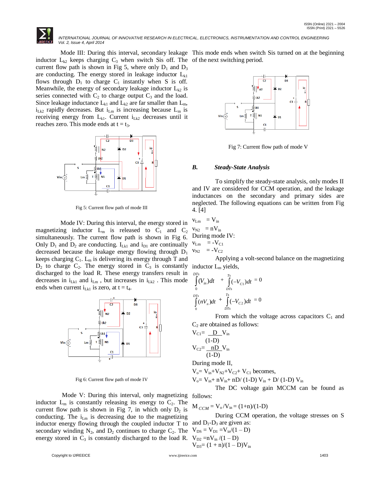

Mode III: During this interval, secondary leakage This mode ends when switch Sis turned on at the beginning inductor  $L_{k2}$  keeps charging  $C_3$  when switch Sis off. The of the next switching period. current flow path is shown in Fig 5, where only  $D_1$  and  $D_3$ are conducting. The energy stored in leakage inductor  $L_{kl}$ flows through  $D_1$  to charge  $C_1$  instantly when S is off. Meanwhile, the energy of secondary leakage inductor  $L_{k2}$  is series connected with  $C_2$  to charge output  $C_3$  and the load. Since leakage inductance  $L_{k1}$  and  $L_{k2}$  are far smaller than  $L_m$ ,  $i_{Lk2}$  rapidly decreases. But  $i_{Lm}$  is increasing because  $L_m$  is receiving energy from  $L_{k1}$ . Current  $i_{Lk2}$  decreases until it reaches zero. This mode ends at  $t = t_3$ .



Fig 5: Current flow path of mode III

 Mode IV: During this interval, the energy stored in magnetizing inductor  $L_m$  is released to  $C_1$  and  $C_2$ simultaneously. The current flow path is shown in Fig 6. Only  $D_1$  and  $D_2$  are conducting.  $I_{Lk1}$  and  $i_{D1}$  are continually decreased because the leakage energy flowing through D<sup>1</sup> keeps charging  $C_1$ .  $L_m$  is delivering its energy through T and  $D_2$  to charge  $C_2$ . The energy stored in  $C_3$  is constantly inductor  $L_m$  yields, discharged to the load R. These energy transfers result in decreases in  $i_{Lk1}$  and  $i_{Lm}$ , but increases in  $i_{Lk2}$ . This mode ends when current  $i_{Lk1}$  is zero, at  $t = t_4$ .



Fig 6: Current flow path of mode IV

 Mode V: During this interval, only magnetizing follows: inductor  $L_m$  is constantly releasing its energy to  $C_2$ . The current flow path is shown in Fig 7, in which only  $D_2$  is conducting. The  $i_{\text{Lm}}$  is decreasing due to the magnetizing inductor energy flowing through the coupled inductor T to secondary winding  $N_2$ , and  $D_2$  continues to charge  $C_2$ . The energy stored in  $C_3$  is constantly discharged to the load R.



Fig 7: Current flow path of mode V

## *B. Steady-State Analysis*

 To simplify the steady-state analysis, only modes II and IV are considered for CCM operation, and the leakage inductances on the secondary and primary sides are neglected. The following equations can be written from Fig 4. [4]

$$
v_{Lm} = V_{in}
$$
  
\n
$$
v_{N2} = nV_{in}
$$
  
\nDuring mode IV:  
\n
$$
v_{Lm} = -V_{C1}
$$
  
\n
$$
v_{N2} = -V_{C2}
$$

Applying a volt-second balance on the magnetizing

$$
\int_{0}^{DTs} (V_{in}) dt + \int_{DTs}^{Ts} (-V_{C1}) dt = 0
$$
\n
$$
\int_{0}^{DTs} (nV_{n}) dt + \int_{DTs}^{Ts} (-V_{C2}) dt = 0
$$

From which the voltage across capacitors  $C_1$  and  $C_2$  are obtained as follows:

$$
V_{C1} = \frac{D}{1-D} V_{in}
$$
  
\n
$$
V_{C2} = \frac{nD}{1-D} V_{in}
$$
  
\n
$$
V_{in}
$$
  
\nDuring mode U

During mode II,

 $V_0 = V_{in} + V_{N2} + V_{C2} + V_{C1}$  becomes,  $V_o = V_{in} + nV_{in} + nD/(1-D) V_{in} + D/(1-D) V_{in}$ 

The DC voltage gain MCCM can be found as

$$
M_{CCM} = V_o/V_{in} = (1+n)/(1-D)
$$

 During CCM operation, the voltage stresses on S and  $D_1$ - $D_3$  are given as:

$$
V_{DS} = V_{D1} = V_{in}/(1 - D)
$$
  
\n
$$
V_{D2} = nV_{in}/(1 - D)
$$
  
\n
$$
V_{D3} = (1 + n)/(1 - D)V_{in}
$$

Copyright to IJIREEICE [www.ijireeice.com](http://www.ijireeice.com/) 1403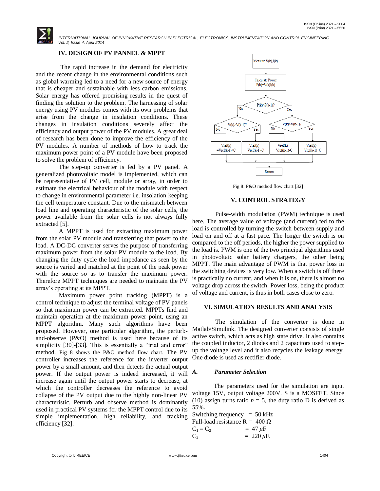# **IV. DESIGN OF PV PANNEL & MPPT**

 The rapid increase in the demand for electricity and the recent change in the environmental conditions such as global warming led to a need for a new source of energy that is cheaper and sustainable with less carbon emissions. Solar energy has offered promising results in the quest of finding the solution to the problem. The harnessing of solar energy using PV modules comes with its own problems that arise from the change in insulation conditions. These changes in insulation conditions severely affect the efficiency and output power of the PV modules. A great deal of research has been done to improve the efficiency of the PV modules. A number of methods of how to track the maximum power point of a PV module have been proposed to solve the problem of efficiency.

 The step-up converter is fed by a PV panel. A generalized photovoltaic model is implemented, which can be representative of PV cell, module or array, in order to estimate the electrical behaviour of the module with respect to change in environmental parameter i.e. insolation keeping the cell temperature constant. Due to the mismatch between load line and operating characteristic of the solar cells, the power available from the solar cells is not always fully extracted [5].

 A MPPT is used for extracting maximum power from the solar PV module and transferring that power to the load. A DC-DC converter serves the purpose of transferring maximum power from the solar PV module to the load. By changing the duty cycle the load impedance as seen by the source is varied and matched at the point of the peak power with the source so as to transfer the maximum power. Therefore MPPT techniques are needed to maintain the PV array's operating at its MPPT.

 Maximum power point tracking (MPPT) is a control technique to adjust the terminal voltage of PV panels so that maximum power can be extracted. MPPTs find and maintain operation at the maximum power point, using an MPPT algorithm. Many such algorithms have been proposed. However, one particular algorithm, the perturband-observe (P&O) method is used here because of its simplicity [30]-[33]. This is essentially a "trial and error" method. Fig 8 shows the P&O method flow chart. The PV controller increases the reference for the inverter output power by a small amount, and then detects the actual output power. If the output power is indeed increased, it will increase again until the output power starts to decrease, at which the controller decreases the reference to avoid collapse of the PV output due to the highly non-linear PV characteristic. Perturb and observe method is dominantly used in practical PV systems for the MPPT control due to its simple implementation, high reliability, and tracking efficiency [32].



Fig 8: P&O method flow chart [32]

## **V. CONTROL STRATEGY**

 Pulse-width modulation (PWM) technique is used here. The average value of voltage (and current) fed to the load is controlled by turning the switch between supply and load on and off at a fast pace. The longer the switch is on compared to the off periods, the higher the power supplied to the load is. PWM is one of the two principal algorithms used in photovoltaic solar battery chargers, the other being MPPT. The main advantage of PWM is that power loss in the switching devices is very low. When a switch is off there is practically no current, and when it is on, there is almost no voltage drop across the switch. Power loss, being the product of voltage and current, is thus in both cases close to zero.

## **VI. SIMULATION RESULTS AND ANALYSIS**

 The simulation of the converter is done in Matlab/Simulink. The designed converter consists of single active switch, which acts as high state drive. It also contains the coupled inductor, 2 diodes and 2 capacitors used to stepup the voltage level and it also recycles the leakage energy. One diode is used as rectifier diode.

# *A. Parameter Selection*

 The parameters used for the simulation are input voltage 15V, output voltage 200V. S is a MOSFET. Since (10) assign turns ratio  $n = 5$ , the duty ratio D is derived as 55%.

Switching frequency  $= 50$  kHz Full-load resistance  $R = 400 Ω$  $C_1 = C_2 = 47 \,\mu\text{F}$  $C_3$  = 220  $\mu$ F.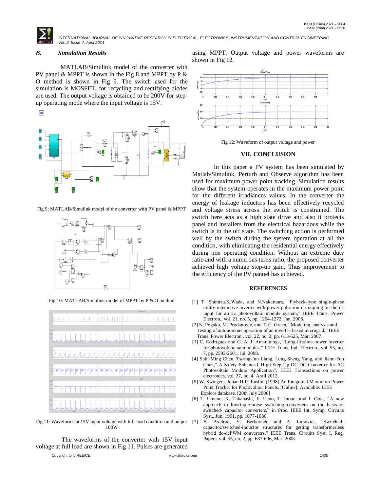## *B. Simulation Results*

 MATLAB/Simulink model of the converter with PV panel  $& MPPT$  is shown in the Fig 8 and MPPT by P  $&$ O method is shown in Fig 9. The switch used for the simulation is MOSFET, for recycling and rectifying diodes are used. The output voltage is obtained to be 200V for stepup operating mode where the input voltage is 15V.

 $\frac{3\pi\sigma_{\rm m}^2}{4\pi\sigma_{\rm c}^2}$ 

Fig 9: MATLAB/Simulink model of the converter with PV panel & MPPT



Fig 10: MATLAB/Simulink model of MPPT by P & O method



Fig 11: Waveforms at 15V input voltage with full-load condition and output [7] 100W

Copyright to IJIREEICE [www.ijireeice.com](http://www.ijireeice.com/) 1405 The waveforms of the converter with 15V input voltage at full load are shown in Fig 11. Pulses are generated

using MPPT. Output voltage and power waveforms are shown in Fig 12.



Fig 12: Waveform of output voltage and power

#### **VII. CONCLUSION**

 In this paper a PV system has been simulated by Matlab/Simulink. Perturb and Observe algorithm has been used for maximum power point tracking. Simulation results show that the system operates in the maximum power point for the different irradiances values. In the converter the energy of leakage inductors has been effectively recycled and voltage stress across the switch is constrained. The switch here acts as a high state drive and also it protects panel and installers from the electrical hazardous while the switch is in the off state. The switching action is performed well by the switch during the system operation at all the condition, with eliminating the residential energy effectively during non operating condition. Without an extreme duty ratio and with a numerous turns ratio, the proposed converter achieved high voltage step-up gain. Thus improvement to the efficiency of the PV pannel has achieved.

#### **REFERENCES**

- [1] T. Shimizu,K.Wada, and N.Nakamura, "Flyback-type single-phase utility interactive inverter with power pulsation decoupling on the dc input for an ac photovoltaic module system," IEEE Trans. Power Electron., vol. 21, no. 5, pp. 1264-1272, Jan. 2006.
- [2] N. Pogaku, M. Prodanovic, and T. C. Green, "Modeling, analysis and testing of autonomous operation of an inverter-based microgrid," IEEE Trans. Power Electron., vol. 22, no. 2, pp. 613-625, Mar. 2007.
- [3] C. Rodriguez and G. A. J. Amaratunga, "Long-lifetime power inverter for photovoltaic ac modules," IEEE Trans. Ind. Electron., vol. 55, no. 7, pp. 2593-2601, Jul. 2008.
- [4] Shih-Ming Chen, Tsorng-Juu Liang, Lung-Sheng Yang, and Jiann-Fuh Chen," A Safety Enhanced, High Step-Up DC-DC Converter for AC Photovoltaic Module Application", IEEE Transactions on power electronics, vol. 27, no. 4, April 2012.
- [5] W. Swiegers, Johan H.R. Enslin, (1998) An Integrated Maximum Power Point Tracker for Photovoltaic Panels. [Online], Available: IEEE Explore database. [20th July 2006]
- [6] T. Umeno, K. Takahashi, F. Ueno, T. Inoue, and I. Oota, "A new approach to lowripple-noise switching converters on the basis of switched- capacitor converters," in Proc. IEEE Int. Symp. Circuits Syst., Jun. 1991, pp. 1077-1080.
- B. Axelrod, Y. Berkovich, and A. Ioinovici, "Switchedcapacitor/switched-inductor structures for getting transformerless hybrid dc-dcPWM converters," IEEE Trans. Circuits Syst. I, Reg. Papers, vol. 55, no. 2, pp. 687-696, Mar. 2008.